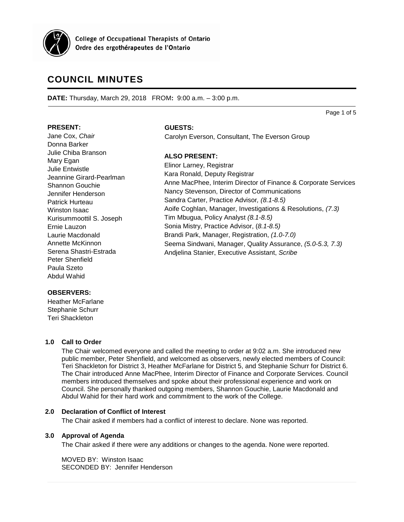

**College of Occupational Therapists of Ontario** Ordre des ergothérapeutes de l'Ontario

# **COUNCIL MINUTES**

**DATE:** Thursday, March 29, 2018 FROM**:** 9:00 a.m. – 3:00 p.m.

Page 1 of 5

## **PRESENT:**

Jane Cox, *Chair* Donna Barker Julie Chiba Branson Mary Egan Julie Entwistle Jeannine Girard-Pearlman Shannon Gouchie Jennifer Henderson Patrick Hurteau Winston Isaac Kurisummoottil S. Joseph Ernie Lauzon Laurie Macdonald Annette McKinnon Serena Shastri-Estrada Peter Shenfield Paula Szeto Abdul Wahid

### **GUESTS:**

Carolyn Everson, Consultant, The Everson Group

## **ALSO PRESENT:**

Elinor Larney, Registrar Kara Ronald, Deputy Registrar Anne MacPhee, Interim Director of Finance & Corporate Services Nancy Stevenson, Director of Communications Sandra Carter, Practice Advisor*, (8.1-8.5)* Aoife Coghlan, Manager, Investigations & Resolutions, *(7.3)* Tim Mbugua, Policy Analyst *(8.1-8.5)* Sonia Mistry, Practice Advisor, (*8.1-8.5)* Brandi Park, Manager, Registration, *(1.0-7.0)* Seema Sindwani, Manager, Quality Assurance, *(5.0-5.3, 7.3)* Andjelina Stanier, Executive Assistant, *Scribe*

## **OBSERVERS:**

Heather McFarlane Stephanie Schurr Teri Shackleton

## **1.0 Call to Order**

The Chair welcomed everyone and called the meeting to order at 9:02 a.m. She introduced new public member, Peter Shenfield, and welcomed as observers, newly elected members of Council: Teri Shackleton for District 3, Heather McFarlane for District 5, and Stephanie Schurr for District 6. The Chair introduced Anne MacPhee, Interim Director of Finance and Corporate Services. Council members introduced themselves and spoke about their professional experience and work on Council. She personally thanked outgoing members, Shannon Gouchie, Laurie Macdonald and Abdul Wahid for their hard work and commitment to the work of the College.

## **2.0 Declaration of Conflict of Interest**

The Chair asked if members had a conflict of interest to declare. None was reported.

## **3.0 Approval of Agenda**

The Chair asked if there were any additions or changes to the agenda. None were reported.

MOVED BY: Winston Isaac SECONDED BY: Jennifer Henderson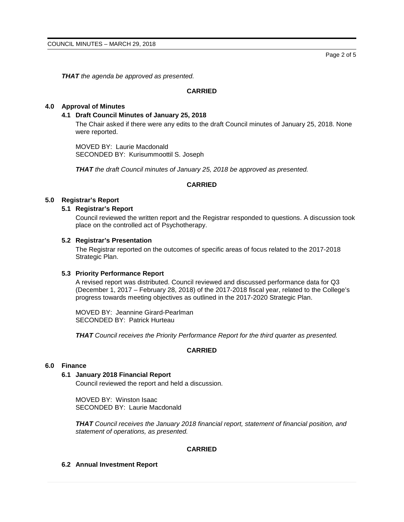*THAT the agenda be approved as presented.*

## **CARRIED**

## **4.0 Approval of Minutes**

#### **4.1 Draft Council Minutes of January 25, 2018**

The Chair asked if there were any edits to the draft Council minutes of January 25, 2018. None were reported.

MOVED BY: Laurie Macdonald SECONDED BY: Kurisummoottil S. Joseph

*THAT the draft Council minutes of January 25, 2018 be approved as presented.*

#### **CARRIED**

## **5.0 Registrar's Report**

#### **5.1 Registrar's Report**

Council reviewed the written report and the Registrar responded to questions. A discussion took place on the controlled act of Psychotherapy.

#### **5.2 Registrar's Presentation**

The Registrar reported on the outcomes of specific areas of focus related to the 2017-2018 Strategic Plan.

#### **5.3 Priority Performance Report**

A revised report was distributed. Council reviewed and discussed performance data for Q3 (December 1, 2017 – February 28, 2018) of the 2017-2018 fiscal year, related to the College's progress towards meeting objectives as outlined in the 2017-2020 Strategic Plan.

MOVED BY: Jeannine Girard-Pearlman SECONDED BY: Patrick Hurteau

*THAT Council receives the Priority Performance Report for the third quarter as presented.*

#### **CARRIED**

#### **6.0 Finance**

#### **6.1 January 2018 Financial Report**

Council reviewed the report and held a discussion.

MOVED BY: Winston Isaac SECONDED BY: Laurie Macdonald

*THAT Council receives the January 2018 financial report, statement of financial position, and statement of operations, as presented.*

## **CARRIED**

#### **6.2 Annual Investment Report**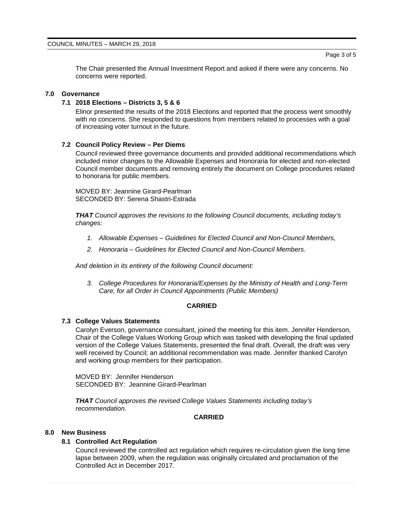The Chair presented the Annual Investment Report and asked if there were any concerns. No concerns were reported.

## **7.0 Governance**

## **7.1 2018 Elections – Districts 3, 5 & 6**

Elinor presented the results of the 2018 Elections and reported that the process went smoothly with no concerns. She responded to questions from members related to processes with a goal of increasing voter turnout in the future.

#### **7.2 Council Policy Review – Per Diems**

Council reviewed three governance documents and provided additional recommendations which included minor changes to the Allowable Expenses and Honoraria for elected and non-elected Council member documents and removing entirely the document on College procedures related to honoraria for public members.

MOVED BY: Jeannine Girard-Pearlman SECONDED BY: Serena Shastri-Estrada

*THAT Council approves the revisions to the following Council documents, including today's changes:*

- *1. Allowable Expenses – Guidelines for Elected Council and Non-Council Members,*
- *2. Honoraria – Guidelines for Elected Council and Non-Council Members.*

*And deletion in its entirety of the following Council document:*

*3. College Procedures for Honoraria/Expenses by the Ministry of Health and Long-Term Care, for all Order in Council Appointments (Public Members)*

## **CARRIED**

#### **7.3 College Values Statements**

Carolyn Everson, governance consultant, joined the meeting for this item. Jennifer Henderson, Chair of the College Values Working Group which was tasked with developing the final updated version of the College Values Statements, presented the final draft. Overall, the draft was very well received by Council; an additional recommendation was made. Jennifer thanked Carolyn and working group members for their participation.

MOVED BY: Jennifer Henderson SECONDED BY: Jeannine Girard-Pearlman

*THAT Council approves the revised College Values Statements including today's recommendation.*

## **CARRIED**

#### **8.0 New Business**

#### **8.1 Controlled Act Regulation**

Council reviewed the controlled act regulation which requires re-circulation given the long time lapse between 2009, when the regulation was originally circulated and proclamation of the Controlled Act in December 2017.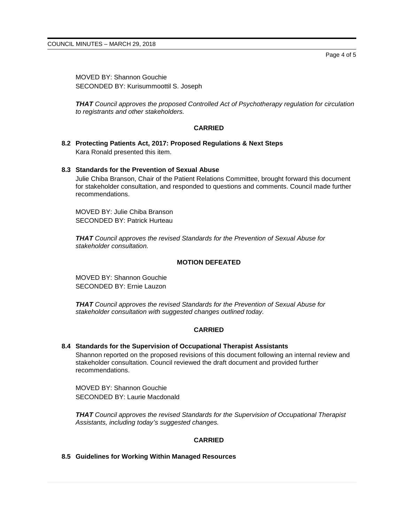Page 4 of 5

MOVED BY: Shannon Gouchie SECONDED BY: Kurisummoottil S. Joseph

*THAT Council approves the proposed Controlled Act of Psychotherapy regulation for circulation to registrants and other stakeholders.*

## **CARRIED**

**8.2 Protecting Patients Act, 2017: Proposed Regulations & Next Steps** Kara Ronald presented this item.

#### **8.3 Standards for the Prevention of Sexual Abuse**

Julie Chiba Branson, Chair of the Patient Relations Committee, brought forward this document for stakeholder consultation, and responded to questions and comments. Council made further recommendations.

MOVED BY: Julie Chiba Branson SECONDED BY: Patrick Hurteau

*THAT Council approves the revised Standards for the Prevention of Sexual Abuse for stakeholder consultation.*

## **MOTION DEFEATED**

MOVED BY: Shannon Gouchie SECONDED BY: Ernie Lauzon

*THAT Council approves the revised Standards for the Prevention of Sexual Abuse for stakeholder consultation with suggested changes outlined today.*

## **CARRIED**

## **8.4 Standards for the Supervision of Occupational Therapist Assistants**

Shannon reported on the proposed revisions of this document following an internal review and stakeholder consultation. Council reviewed the draft document and provided further recommendations.

MOVED BY: Shannon Gouchie SECONDED BY: Laurie Macdonald

*THAT Council approves the revised Standards for the Supervision of Occupational Therapist Assistants, including today's suggested changes.*

## **CARRIED**

**8.5 Guidelines for Working Within Managed Resources**